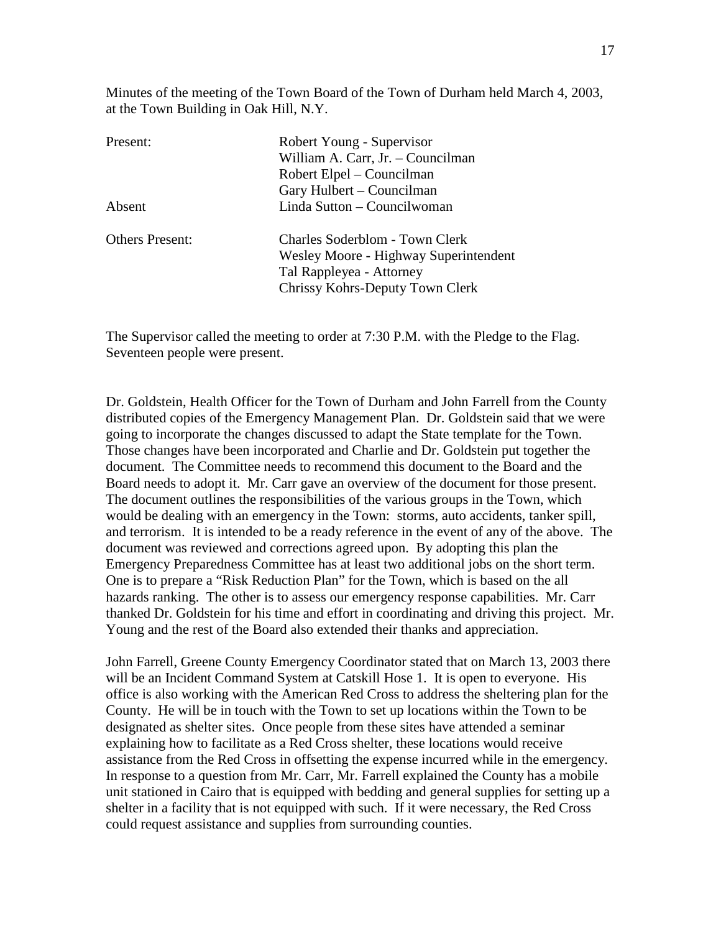Minutes of the meeting of the Town Board of the Town of Durham held March 4, 2003, at the Town Building in Oak Hill, N.Y.

| Present:               | Robert Young - Supervisor             |
|------------------------|---------------------------------------|
|                        | William A. Carr, Jr. - Councilman     |
|                        | Robert Elpel – Councilman             |
|                        | Gary Hulbert - Councilman             |
| Absent                 | Linda Sutton – Councilwoman           |
| <b>Others Present:</b> | Charles Soderblom - Town Clerk        |
|                        | Wesley Moore - Highway Superintendent |
|                        | Tal Rappleyea - Attorney              |
|                        | Chrissy Kohrs-Deputy Town Clerk       |
|                        |                                       |

The Supervisor called the meeting to order at 7:30 P.M. with the Pledge to the Flag. Seventeen people were present.

Dr. Goldstein, Health Officer for the Town of Durham and John Farrell from the County distributed copies of the Emergency Management Plan. Dr. Goldstein said that we were going to incorporate the changes discussed to adapt the State template for the Town. Those changes have been incorporated and Charlie and Dr. Goldstein put together the document. The Committee needs to recommend this document to the Board and the Board needs to adopt it. Mr. Carr gave an overview of the document for those present. The document outlines the responsibilities of the various groups in the Town, which would be dealing with an emergency in the Town: storms, auto accidents, tanker spill, and terrorism. It is intended to be a ready reference in the event of any of the above. The document was reviewed and corrections agreed upon. By adopting this plan the Emergency Preparedness Committee has at least two additional jobs on the short term. One is to prepare a "Risk Reduction Plan" for the Town, which is based on the all hazards ranking. The other is to assess our emergency response capabilities. Mr. Carr thanked Dr. Goldstein for his time and effort in coordinating and driving this project. Mr. Young and the rest of the Board also extended their thanks and appreciation.

John Farrell, Greene County Emergency Coordinator stated that on March 13, 2003 there will be an Incident Command System at Catskill Hose 1. It is open to everyone. His office is also working with the American Red Cross to address the sheltering plan for the County. He will be in touch with the Town to set up locations within the Town to be designated as shelter sites. Once people from these sites have attended a seminar explaining how to facilitate as a Red Cross shelter, these locations would receive assistance from the Red Cross in offsetting the expense incurred while in the emergency. In response to a question from Mr. Carr, Mr. Farrell explained the County has a mobile unit stationed in Cairo that is equipped with bedding and general supplies for setting up a shelter in a facility that is not equipped with such. If it were necessary, the Red Cross could request assistance and supplies from surrounding counties.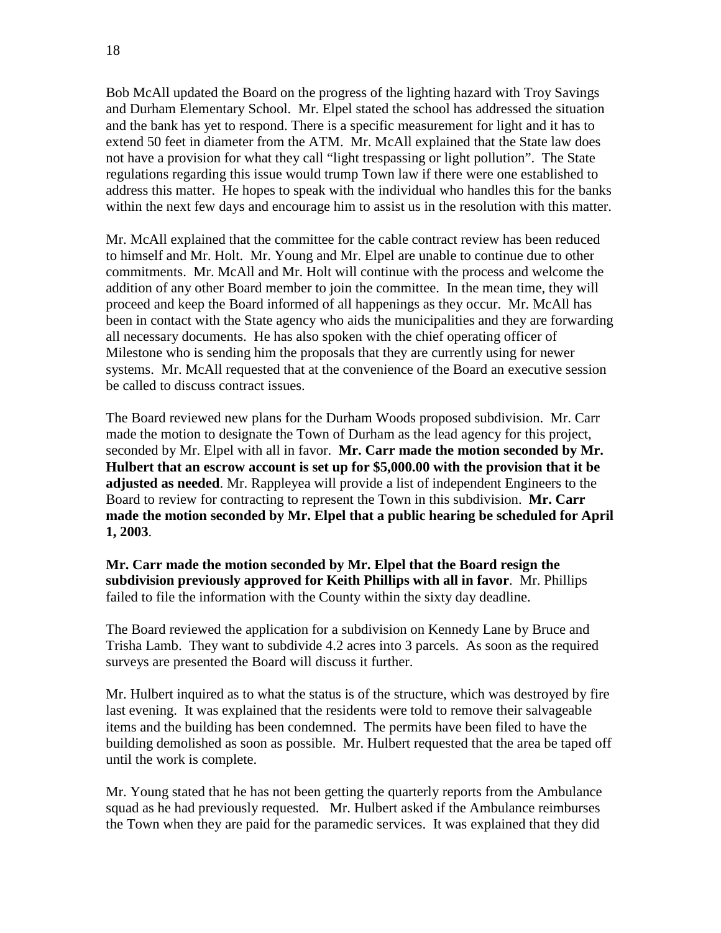Bob McAll updated the Board on the progress of the lighting hazard with Troy Savings and Durham Elementary School. Mr. Elpel stated the school has addressed the situation and the bank has yet to respond. There is a specific measurement for light and it has to extend 50 feet in diameter from the ATM. Mr. McAll explained that the State law does not have a provision for what they call "light trespassing or light pollution". The State regulations regarding this issue would trump Town law if there were one established to address this matter. He hopes to speak with the individual who handles this for the banks within the next few days and encourage him to assist us in the resolution with this matter.

Mr. McAll explained that the committee for the cable contract review has been reduced to himself and Mr. Holt. Mr. Young and Mr. Elpel are unable to continue due to other commitments. Mr. McAll and Mr. Holt will continue with the process and welcome the addition of any other Board member to join the committee. In the mean time, they will proceed and keep the Board informed of all happenings as they occur. Mr. McAll has been in contact with the State agency who aids the municipalities and they are forwarding all necessary documents. He has also spoken with the chief operating officer of Milestone who is sending him the proposals that they are currently using for newer systems. Mr. McAll requested that at the convenience of the Board an executive session be called to discuss contract issues.

The Board reviewed new plans for the Durham Woods proposed subdivision. Mr. Carr made the motion to designate the Town of Durham as the lead agency for this project, seconded by Mr. Elpel with all in favor. **Mr. Carr made the motion seconded by Mr. Hulbert that an escrow account is set up for \$5,000.00 with the provision that it be adjusted as needed**. Mr. Rappleyea will provide a list of independent Engineers to the Board to review for contracting to represent the Town in this subdivision. **Mr. Carr made the motion seconded by Mr. Elpel that a public hearing be scheduled for April 1, 2003**.

**Mr. Carr made the motion seconded by Mr. Elpel that the Board resign the subdivision previously approved for Keith Phillips with all in favor**. Mr. Phillips failed to file the information with the County within the sixty day deadline.

The Board reviewed the application for a subdivision on Kennedy Lane by Bruce and Trisha Lamb. They want to subdivide 4.2 acres into 3 parcels. As soon as the required surveys are presented the Board will discuss it further.

Mr. Hulbert inquired as to what the status is of the structure, which was destroyed by fire last evening. It was explained that the residents were told to remove their salvageable items and the building has been condemned. The permits have been filed to have the building demolished as soon as possible. Mr. Hulbert requested that the area be taped off until the work is complete.

Mr. Young stated that he has not been getting the quarterly reports from the Ambulance squad as he had previously requested. Mr. Hulbert asked if the Ambulance reimburses the Town when they are paid for the paramedic services. It was explained that they did